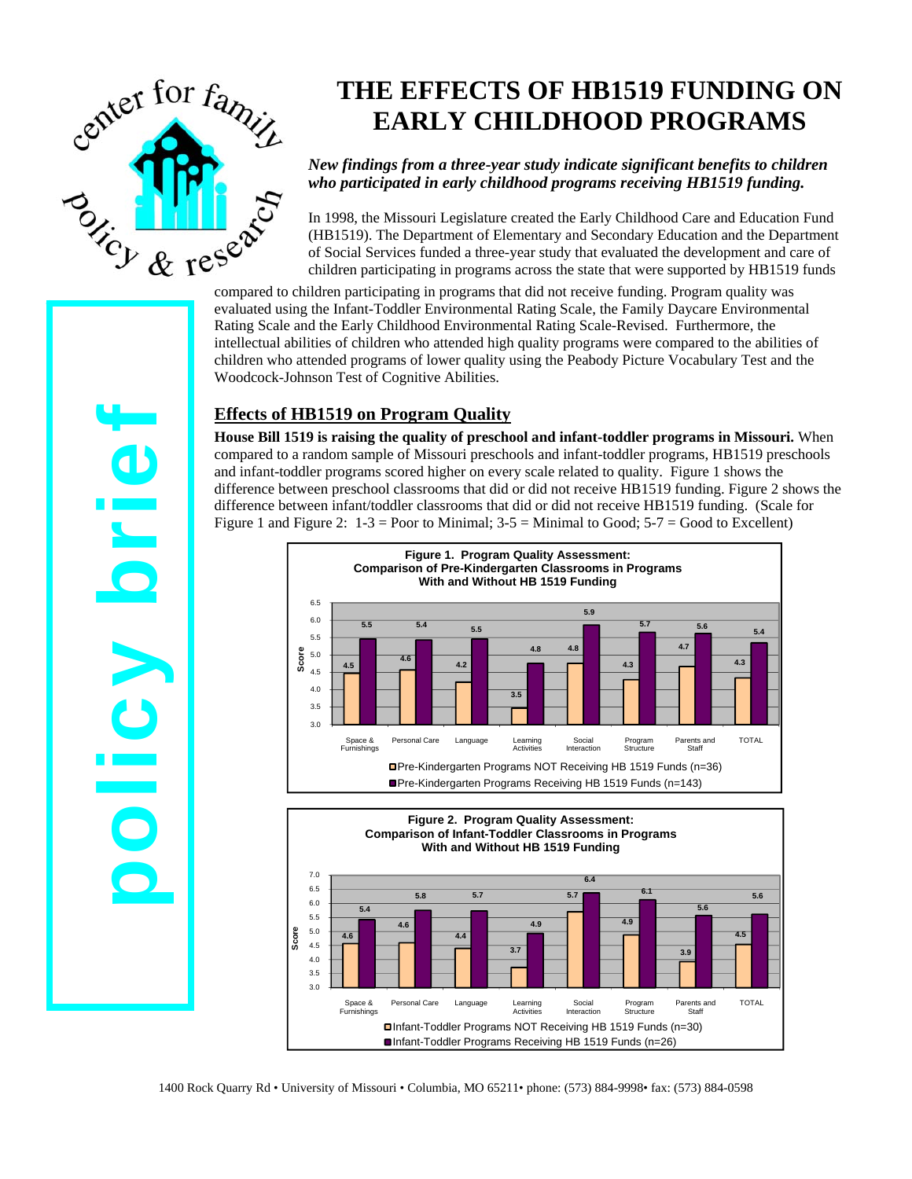

# **THE EFFECTS OF HB1519 FUNDING ON EARLY CHILDHOOD PROGRAMS**

### *New findings from a three-year study indicate significant benefits to children who participated in early childhood programs receiving HB1519 funding.*

In 1998, the Missouri Legislature created the Early Childhood Care and Education Fund (HB1519). The Department of Elementary and Secondary Education and the Department of Social Services funded a three-year study that evaluated the development and care of children participating in programs across the state that were supported by HB1519 funds compared to children participating in programs that did not receive funding. Program quality was

evaluated using the Infant-Toddler Environmental Rating Scale, the Family Daycare Environmental Rating Scale and the Early Childhood Environmental Rating Scale-Revised. Furthermore, the intellectual abilities of children who attended high quality programs were compared to the abilities of children who attended programs of lower quality using the Peabody Picture Vocabulary Test and the Woodcock-Johnson Test of Cognitive Abilities.

# **Effects of HB1519 on Program Quality**

**House Bill 1519 is raising the quality of preschool and infant-toddler programs in Missouri.** When compared to a random sample of Missouri preschools and infant-toddler programs, HB1519 preschools and infant-toddler programs scored higher on every scale related to quality. Figure 1 shows the difference between preschool classrooms that did or did not receive HB1519 funding. Figure 2 shows the difference between infant/toddler classrooms that did or did not receive HB1519 funding. (Scale for Figure 1 and Figure 2:  $1-3 =$  Poor to Minimal;  $3-5 =$  Minimal to Good;  $5-7 =$  Good to Excellent)





1400 Rock Quarry Rd • University of Missouri • Columbia, MO 65211• phone: (573) 884-9998• fax: (573) 884-0598